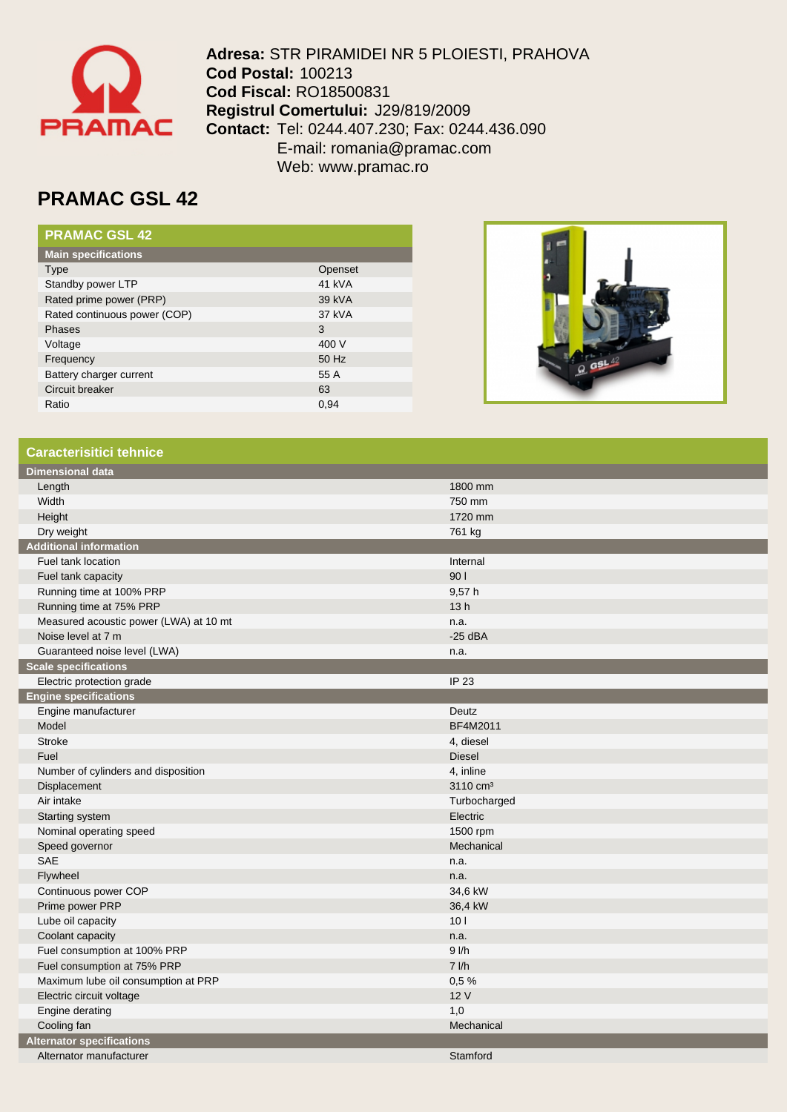

**Adresa:** STR PIRAMIDEI NR 5 PLOIESTI, PRAHOVA **Cod Postal:** 100213 **Cod Fiscal:** RO18500831 **Registrul Comertului:** J29/819/2009 **Contact:** Tel: 0244.407.230; Fax: 0244.436.090 E-mail: romania@pramac.com Web: www.pramac.ro

## **PRAMAC GSL 42**

| <b>PRAMAC GSL 42</b>         |         |
|------------------------------|---------|
| <b>Main specifications</b>   |         |
| Type                         | Openset |
| Standby power LTP            | 41 kVA  |
| Rated prime power (PRP)      | 39 kVA  |
| Rated continuous power (COP) | 37 kVA  |
| Phases                       | 3       |
| Voltage                      | 400 V   |
| Frequency                    | 50 Hz   |
| Battery charger current      | 55 A    |
| Circuit breaker              | 63      |
| Ratio                        | 0.94    |



## **Caracterisitici tehnice**

| <b>Dimensional data</b>                |                      |
|----------------------------------------|----------------------|
| Length                                 | 1800 mm              |
| Width                                  | 750 mm               |
| Height                                 | 1720 mm              |
| Dry weight                             | 761 kg               |
| <b>Additional information</b>          |                      |
| Fuel tank location                     | Internal             |
| Fuel tank capacity                     | 901                  |
| Running time at 100% PRP               | 9,57h                |
| Running time at 75% PRP                | 13h                  |
| Measured acoustic power (LWA) at 10 mt | n.a.                 |
| Noise level at 7 m                     | $-25$ dBA            |
| Guaranteed noise level (LWA)           | n.a.                 |
| <b>Scale specifications</b>            |                      |
| Electric protection grade              | IP 23                |
| <b>Engine specifications</b>           |                      |
| Engine manufacturer                    | Deutz                |
| Model                                  | BF4M2011             |
| <b>Stroke</b>                          | 4, diesel            |
| Fuel                                   | <b>Diesel</b>        |
| Number of cylinders and disposition    | 4, inline            |
| Displacement                           | 3110 cm <sup>3</sup> |
| Air intake                             | Turbocharged         |
| Starting system                        | Electric             |
| Nominal operating speed                | 1500 rpm             |
| Speed governor                         | Mechanical           |
| <b>SAE</b>                             | n.a.                 |
| Flywheel                               | n.a.                 |
| Continuous power COP                   | 34,6 kW              |
| Prime power PRP                        | 36,4 kW              |
| Lube oil capacity                      | 101                  |
| Coolant capacity                       | n.a.                 |
| Fuel consumption at 100% PRP           | $9$ $1/h$            |
| Fuel consumption at 75% PRP            | $7$ $I/h$            |
| Maximum lube oil consumption at PRP    | 0.5%                 |
| Electric circuit voltage               | 12 V                 |
| Engine derating                        | 1,0                  |
| Cooling fan                            | Mechanical           |
| <b>Alternator specifications</b>       |                      |
| Alternator manufacturer                | Stamford             |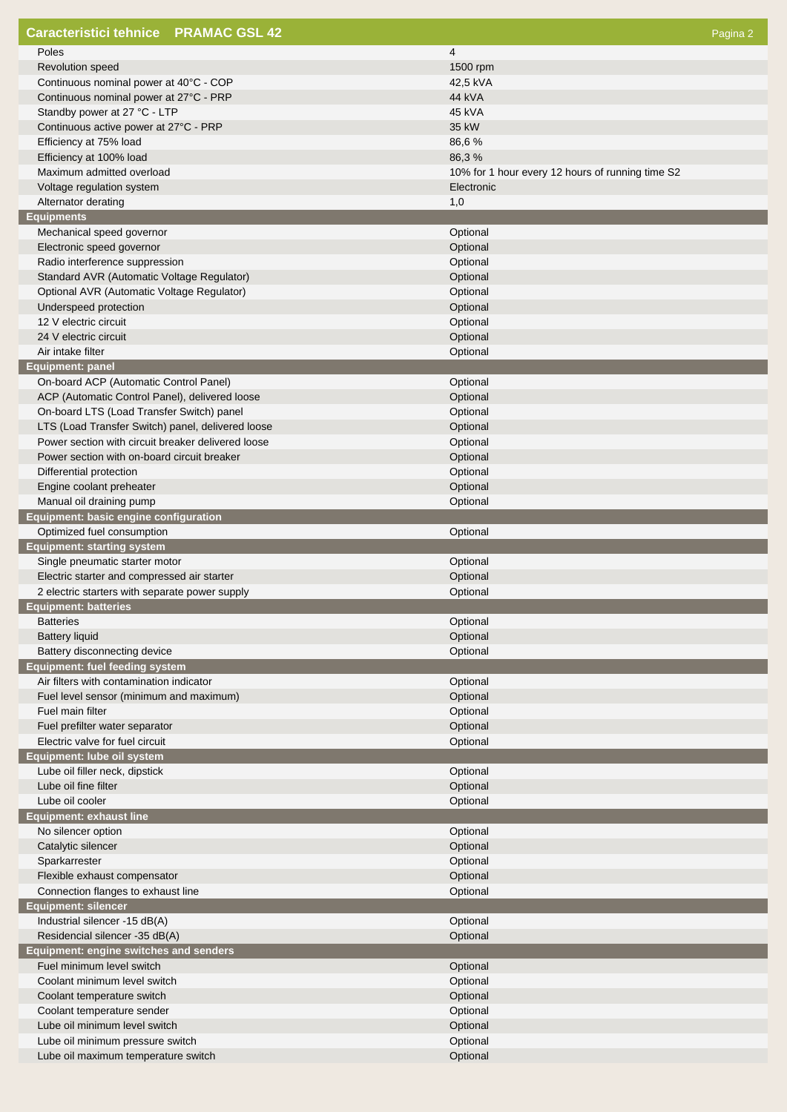| <b>Caracteristici tehnice PRAMAC GSL 42</b>              | Pagina 2                                         |
|----------------------------------------------------------|--------------------------------------------------|
| Poles                                                    | 4                                                |
| Revolution speed                                         | 1500 rpm                                         |
| Continuous nominal power at 40°C - COP                   | 42,5 kVA                                         |
| Continuous nominal power at 27°C - PRP                   | 44 kVA                                           |
| Standby power at 27 °C - LTP                             | 45 kVA                                           |
| Continuous active power at 27°C - PRP                    | 35 kW                                            |
| Efficiency at 75% load                                   | 86,6%                                            |
| Efficiency at 100% load                                  | 86,3%                                            |
| Maximum admitted overload                                | 10% for 1 hour every 12 hours of running time S2 |
| Voltage regulation system                                | Electronic                                       |
| Alternator derating                                      | 1,0                                              |
| <b>Equipments</b><br>Mechanical speed governor           | Optional                                         |
| Electronic speed governor                                | Optional                                         |
| Radio interference suppression                           | Optional                                         |
| Standard AVR (Automatic Voltage Regulator)               | Optional                                         |
| Optional AVR (Automatic Voltage Regulator)               | Optional                                         |
| Underspeed protection                                    | Optional                                         |
| 12 V electric circuit                                    | Optional                                         |
| 24 V electric circuit                                    | Optional                                         |
| Air intake filter                                        | Optional                                         |
| <b>Equipment: panel</b>                                  |                                                  |
| On-board ACP (Automatic Control Panel)                   | Optional                                         |
| ACP (Automatic Control Panel), delivered loose           | Optional                                         |
| On-board LTS (Load Transfer Switch) panel                | Optional                                         |
| LTS (Load Transfer Switch) panel, delivered loose        | Optional                                         |
| Power section with circuit breaker delivered loose       | Optional                                         |
| Power section with on-board circuit breaker              | Optional                                         |
| Differential protection                                  | Optional<br>Optional                             |
| Engine coolant preheater<br>Manual oil draining pump     | Optional                                         |
| Equipment: basic engine configuration                    |                                                  |
| Optimized fuel consumption                               | Optional                                         |
| <b>Equipment: starting system</b>                        |                                                  |
| Single pneumatic starter motor                           | Optional                                         |
| Electric starter and compressed air starter              | Optional                                         |
| 2 electric starters with separate power supply           | Optional                                         |
| <b>Equipment: batteries</b>                              |                                                  |
| <b>Batteries</b>                                         | Optional                                         |
| <b>Battery liquid</b>                                    | Optional                                         |
| Battery disconnecting device                             | Optional                                         |
| <b>Equipment: fuel feeding system</b>                    |                                                  |
| Air filters with contamination indicator                 | Optional                                         |
| Fuel level sensor (minimum and maximum)                  | Optional                                         |
| Fuel main filter<br>Fuel prefilter water separator       | Optional<br>Optional                             |
| Electric valve for fuel circuit                          | Optional                                         |
| Equipment: lube oil system                               |                                                  |
| Lube oil filler neck, dipstick                           | Optional                                         |
| Lube oil fine filter                                     | Optional                                         |
| Lube oil cooler                                          | Optional                                         |
| <b>Equipment: exhaust line</b>                           |                                                  |
| No silencer option                                       | Optional                                         |
| Catalytic silencer                                       | Optional                                         |
| Sparkarrester                                            | Optional                                         |
| Flexible exhaust compensator                             | Optional                                         |
| Connection flanges to exhaust line                       | Optional                                         |
| <b>Equipment: silencer</b>                               |                                                  |
| Industrial silencer -15 dB(A)                            | Optional                                         |
| Residencial silencer -35 dB(A)                           | Optional                                         |
| Equipment: engine switches and senders                   |                                                  |
| Fuel minimum level switch                                | Optional                                         |
| Coolant minimum level switch                             | Optional                                         |
| Coolant temperature switch<br>Coolant temperature sender | Optional<br>Optional                             |
| Lube oil minimum level switch                            | Optional                                         |
| Lube oil minimum pressure switch                         | Optional                                         |
| Lube oil maximum temperature switch                      | Optional                                         |
|                                                          |                                                  |